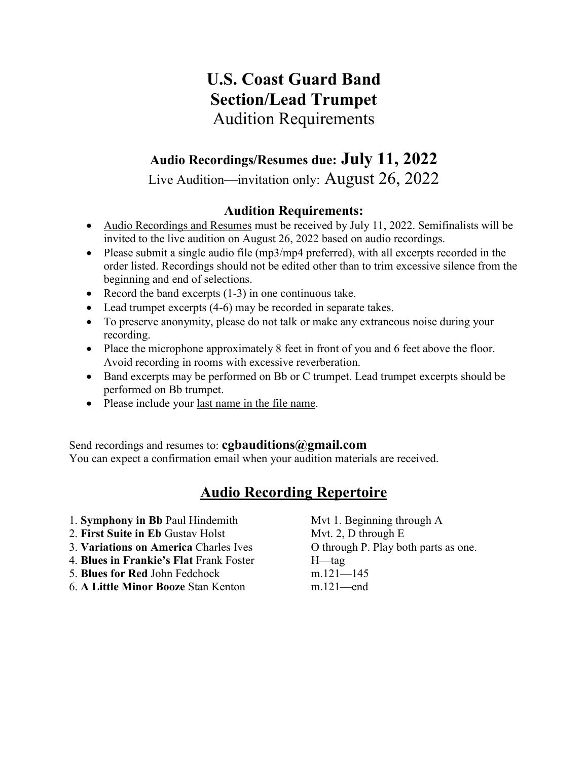# **U.S. Coast Guard Band Section/Lead Trumpet** Audition Requirements

## **Audio Recordings/Resumes due: July 11, 2022**

Live Audition—invitation only: August 26, 2022

### **Audition Requirements:**

- Audio Recordings and Resumes must be received by July 11, 2022. Semifinalists will be invited to the live audition on August 26, 2022 based on audio recordings.
- Please submit a single audio file (mp3/mp4 preferred), with all excerpts recorded in the order listed. Recordings should not be edited other than to trim excessive silence from the beginning and end of selections.
- Record the band excerpts (1-3) in one continuous take.
- Lead trumpet excerpts (4-6) may be recorded in separate takes.
- To preserve anonymity, please do not talk or make any extraneous noise during your recording.
- Place the microphone approximately 8 feet in front of you and 6 feet above the floor. Avoid recording in rooms with excessive reverberation.
- Band excerpts may be performed on Bb or C trumpet. Lead trumpet excerpts should be performed on Bb trumpet.
- Please include your last name in the file name.

Send recordings and resumes to: **cgbauditions@gmail.com**

You can expect a confirmation email when your audition materials are received.

## **Audio Recording Repertoire**

- 1. **Symphony in Bb** Paul Hindemith Mvt 1. Beginning through A
- 2. **First Suite in Eb** Gustav Holst Mvt. 2, D through E
- 3. **Variations on America** Charles Ives O through P. Play both parts as one.
- 4. **Blues in Frankie's Flat** Frank Foster H—tag
- 5. **Blues for Red** John Fedchock m.121—145
- 6. **A Little Minor Booze** Stan Kenton m.121—end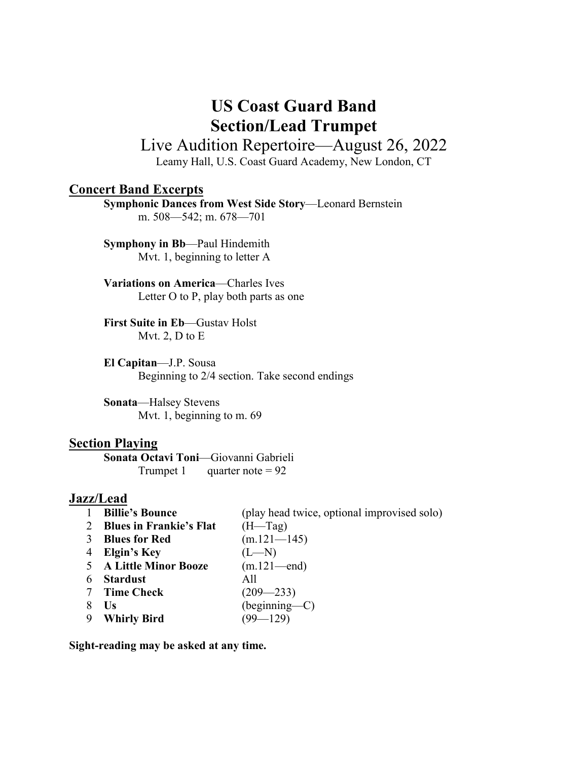# **US Coast Guard Band Section/Lead Trumpet**

## Live Audition Repertoire—August 26, 2022

Leamy Hall, U.S. Coast Guard Academy, New London, CT

#### **Concert Band Excerpts**

**Symphonic Dances from West Side Story**—Leonard Bernstein m. 508—542; m. 678—701

**Symphony in Bb**—Paul Hindemith Mvt. 1, beginning to letter A

**Variations on America**—Charles Ives Letter O to P, play both parts as one

**First Suite in Eb**—Gustav Holst Mvt. 2, D to E

**El Capitan**—J.P. Sousa Beginning to 2/4 section. Take second endings

**Sonata**—Halsey Stevens Mvt. 1, beginning to m. 69

#### **Section Playing**

**Sonata Octavi Toni**—Giovanni Gabrieli Trumpet 1 quarter note =  $92$ 

#### **Jazz/Lead**

| <b>Billie's Bounce</b>         | (play head twice, optional improvised solo) |
|--------------------------------|---------------------------------------------|
| <b>Blues in Frankie's Flat</b> | $(H = Tag)$                                 |
| <b>Blues for Red</b>           | $(m.121 - 145)$                             |
| Elgin's Key                    | $(L-M)$                                     |
| <b>A Little Minor Booze</b>    | $(m.121 - end)$                             |
| <b>Stardust</b>                | A11                                         |
| <b>Time Check</b>              | $(209 - 233)$                               |
| Us                             | (beginning—C)                               |
| <b>Whirly Bird</b>             | $(99 - 129)$                                |
|                                |                                             |

**Sight-reading may be asked at any time.**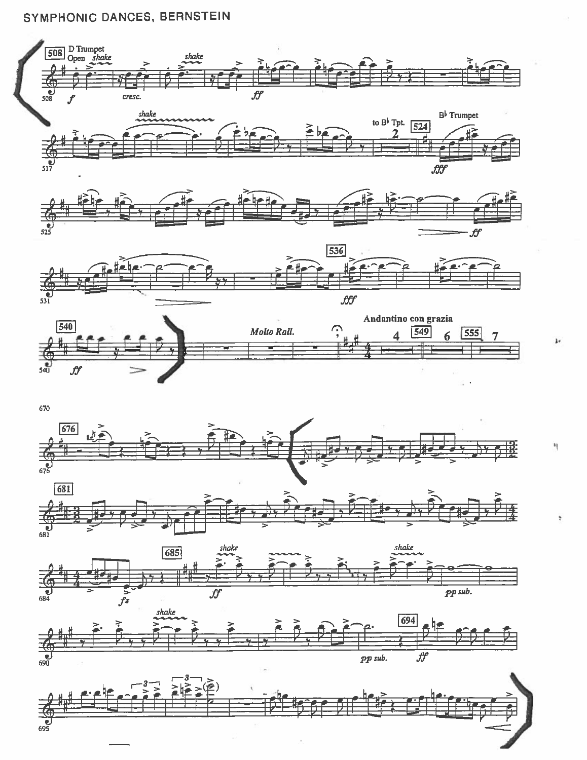### SYMPHONIC DANCES, BERNSTEIN









670









١ļ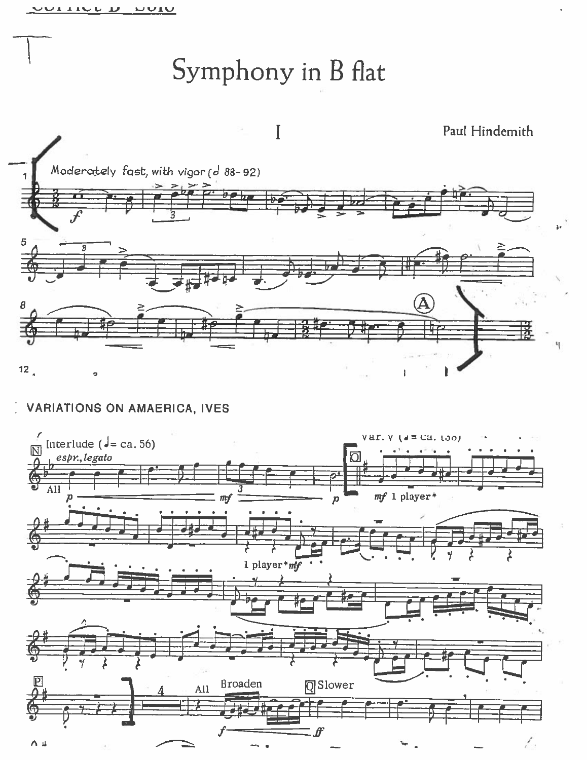# Symphony in B flat



**VARIATIONS ON AMAERICA, IVES** 

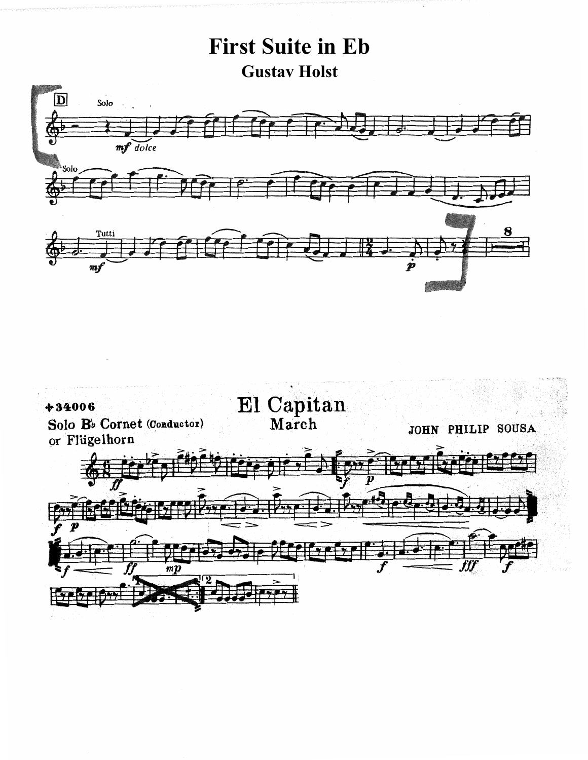# **First Suite in Eb Gustav Holst**



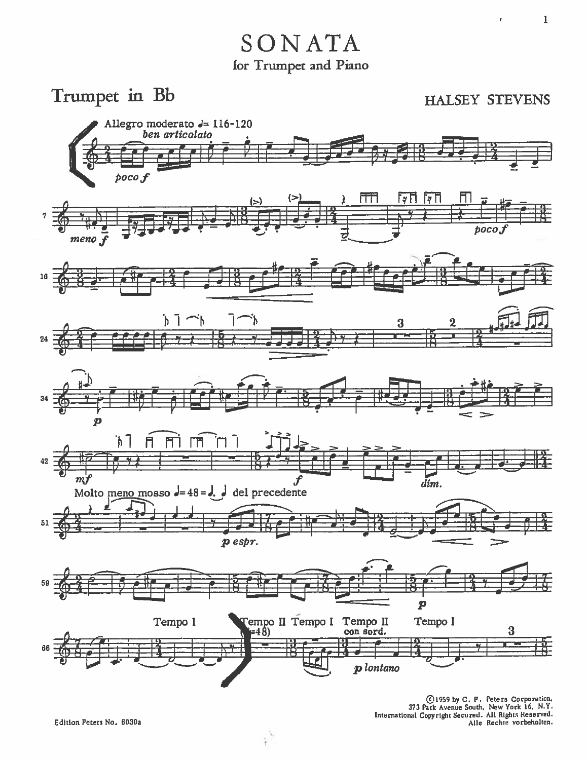Trumpet in Bb

**HALSEY STEVENS** 

 $\lambda$ 



(C) 1959 by C. F. Peters Corporation,<br>373 Park Avenue South, New York 16, N.Y.<br>International Copyright Secured. All Rights Reserved.<br>Alle Rechte vorbehalten.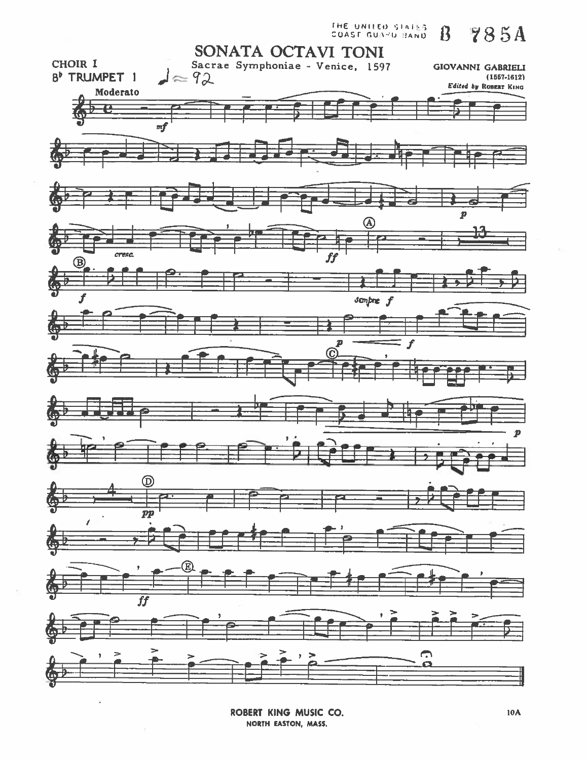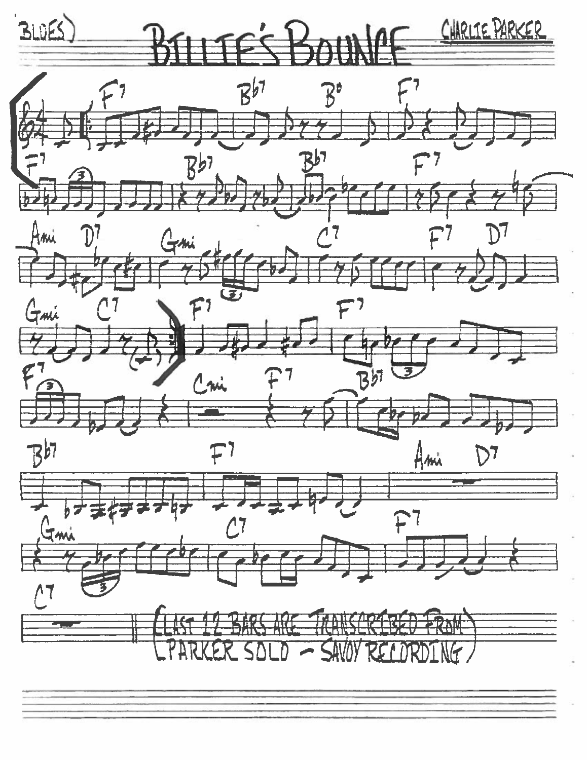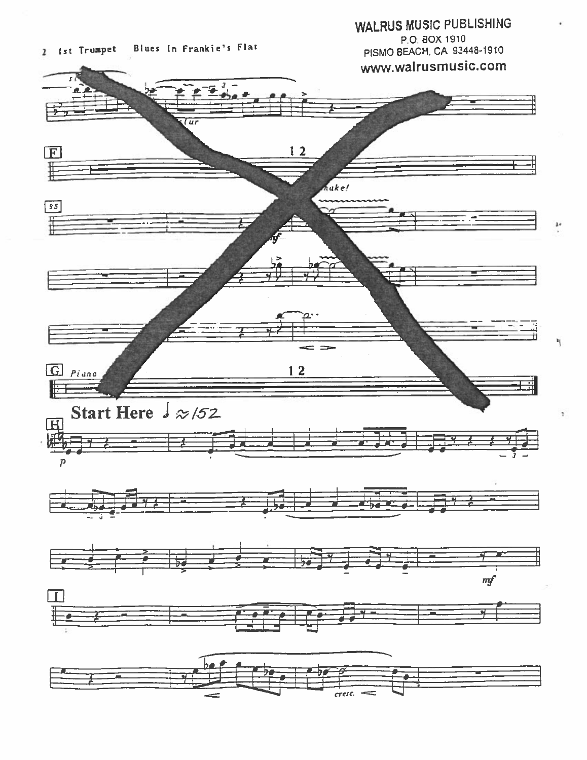

20

Ń.

÷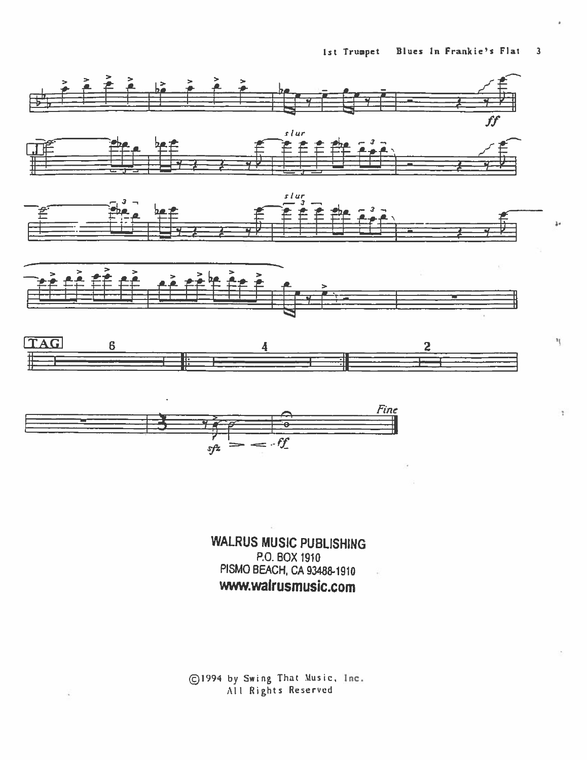

**WALRUS MUSIC PUBLISHING** P.O. BOX 1910 PISMO BEACH, CA 93488-1910 www.walrusmusic.com

C1994 by Swing That Music, Inc.<br>All Rights Reserved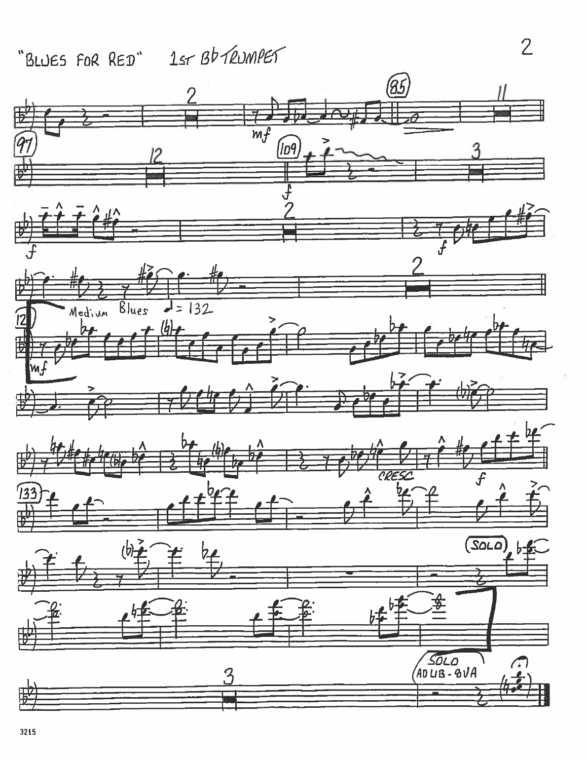# "BLUES FOR RED" 1sr Bb TRUMPET



 $\overline{2}$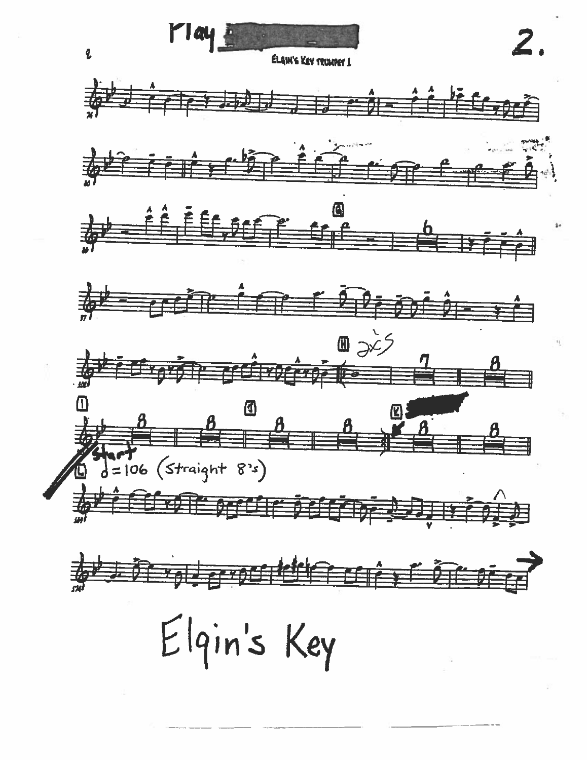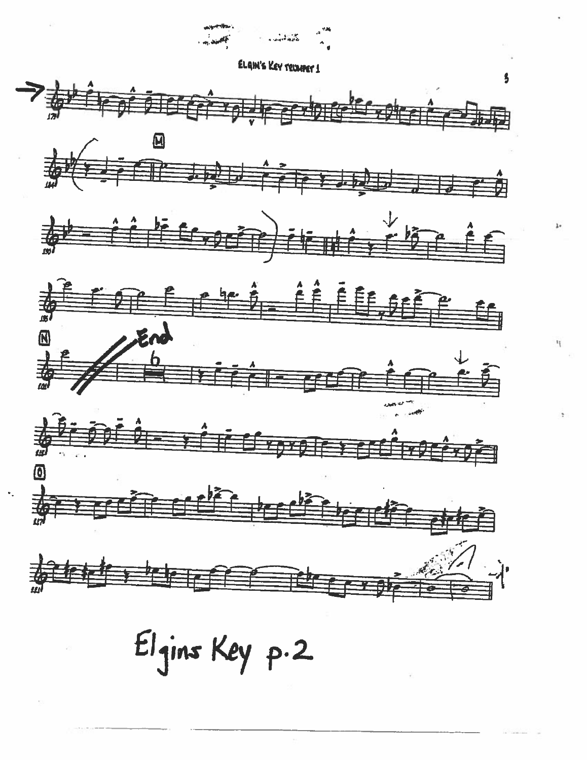- - **ELAIN'S KEY TRIMMET!**













Elgins Key p.2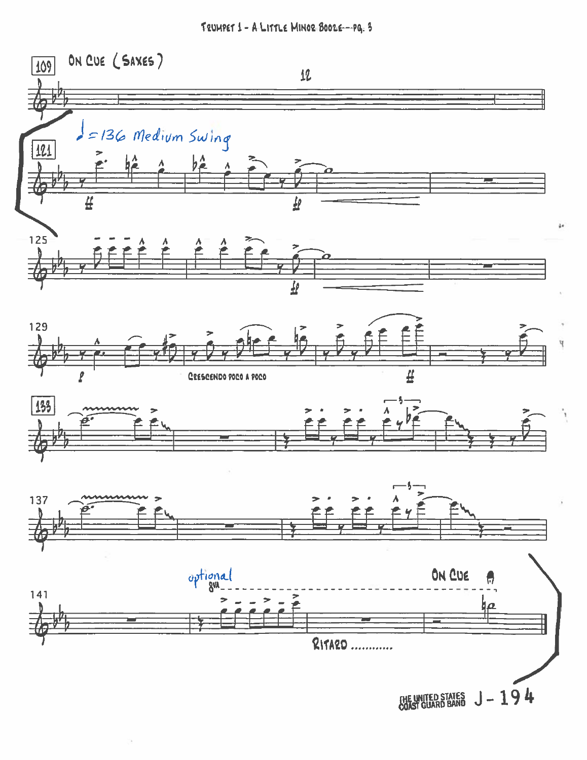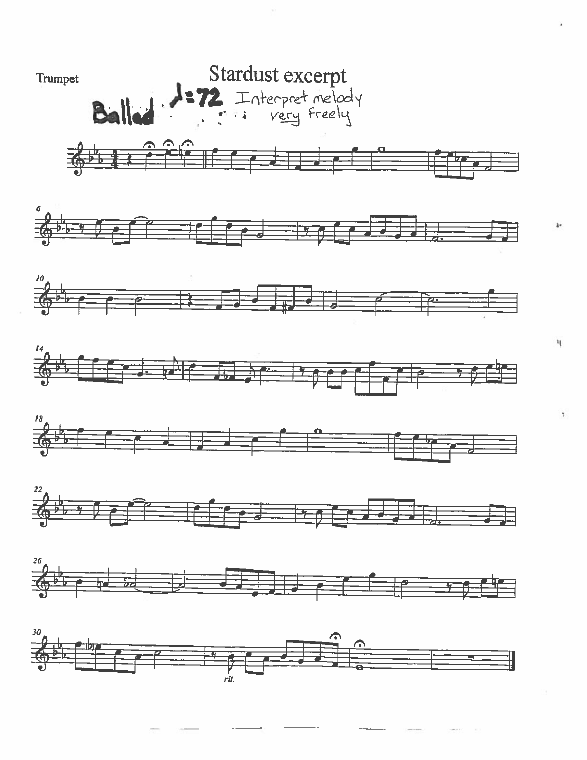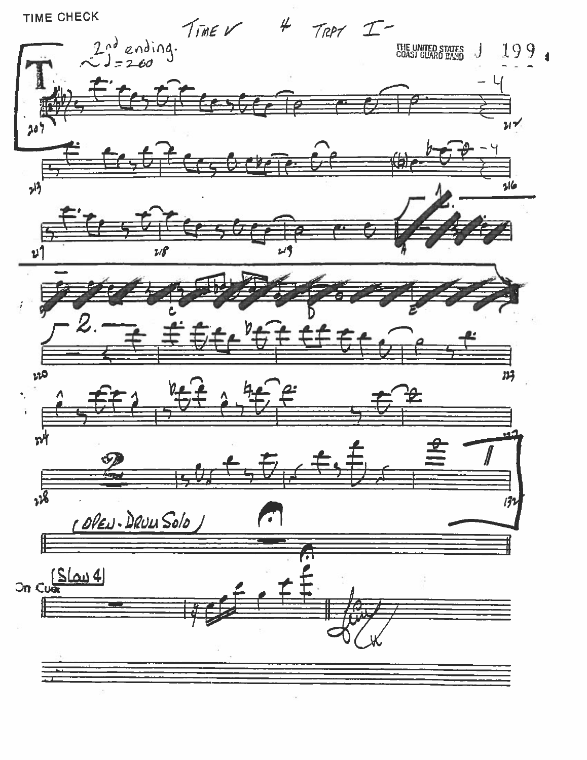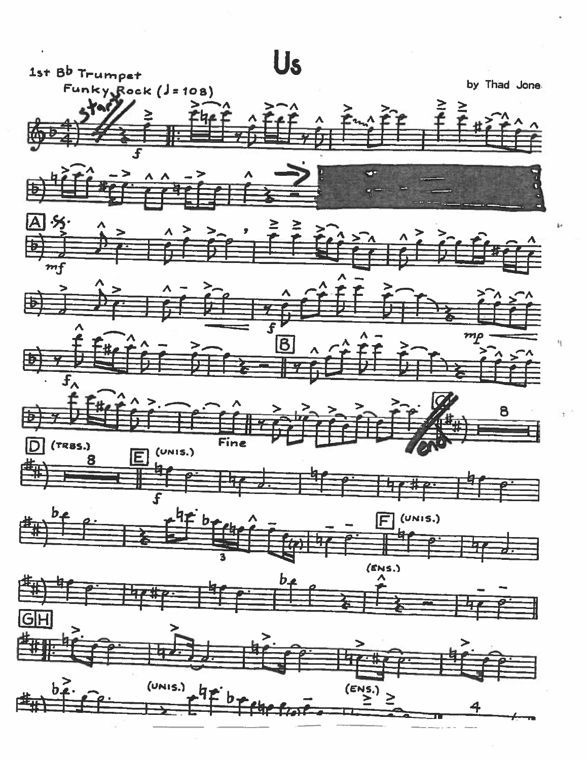

ij